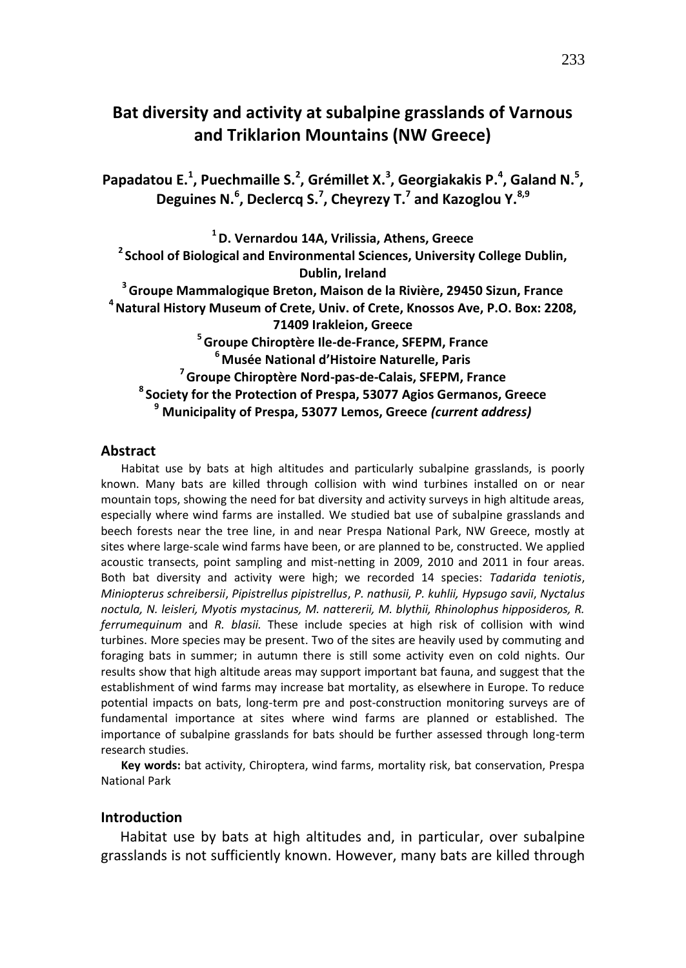# **Bat diversity and activity at subalpine grasslands of Varnous and Triklarion Mountains (NW Greece)**

Papadatou E.<sup>1</sup>, Puechmaille S.<sup>2</sup>, Grémillet X.<sup>3</sup>, Georgiakakis P.<sup>4</sup>, Galand N.<sup>5</sup>, **Deguines N. 6 , Declercq S. 7 , Cheyrezy T. 7 and Kazoglou Y. 8,9**

**D. Vernardou 14A, Vrilissia, Athens, Greece School of Biological and Environmental Sciences, University College Dublin, Dublin, Ireland Groupe Mammalogique Breton, Maison de la Rivière, 29450 Sizun, France Natural History Museum of Crete, Univ. of Crete, Knossos Ave, P.O. Box: 2208, 71409 Irakleion, Greece Groupe Chiroptère Ile-de-France, SFEPM, France Musée National d'Histoire Naturelle, Paris Groupe Chiroptère Nord-pas-de-Calais, SFEPM, France Society for the Protection of Prespa, 53077 Agios Germanos, Greece Municipality of Prespa, 53077 Lemos, Greece** *(current address)*

#### **Abstract**

Habitat use by bats at high altitudes and particularly subalpine grasslands, is poorly known. Many bats are killed through collision with wind turbines installed on or near mountain tops, showing the need for bat diversity and activity surveys in high altitude areas, especially where wind farms are installed. We studied bat use of subalpine grasslands and beech forests near the tree line, in and near Prespa National Park, NW Greece, mostly at sites where large-scale wind farms have been, or are planned to be, constructed. We applied acoustic transects, point sampling and mist-netting in 2009, 2010 and 2011 in four areas. Both bat diversity and activity were high; we recorded 14 species: *Tadarida teniotis*, *Miniopterus schreibersii*, *Pipistrellus pipistrellus*, *P. nathusii, P. kuhlii, Hypsugo savii*, *Nyctalus noctula, N. leisleri, Myotis mystacinus, M. nattererii, M. blythii, Rhinolophus hipposideros, R. ferrumequinum* and *R. blasii.* These include species at high risk of collision with wind turbines. More species may be present. Two of the sites are heavily used by commuting and foraging bats in summer; in autumn there is still some activity even on cold nights. Our results show that high altitude areas may support important bat fauna, and suggest that the establishment of wind farms may increase bat mortality, as elsewhere in Europe. To reduce potential impacts on bats, long-term pre and post-construction monitoring surveys are of fundamental importance at sites where wind farms are planned or established. The importance of subalpine grasslands for bats should be further assessed through long-term research studies.

**Key words:** bat activity, Chiroptera, wind farms, mortality risk, bat conservation, Prespa National Park

## **Introduction**

Habitat use by bats at high altitudes and, in particular, over subalpine grasslands is not sufficiently known. However, many bats are killed through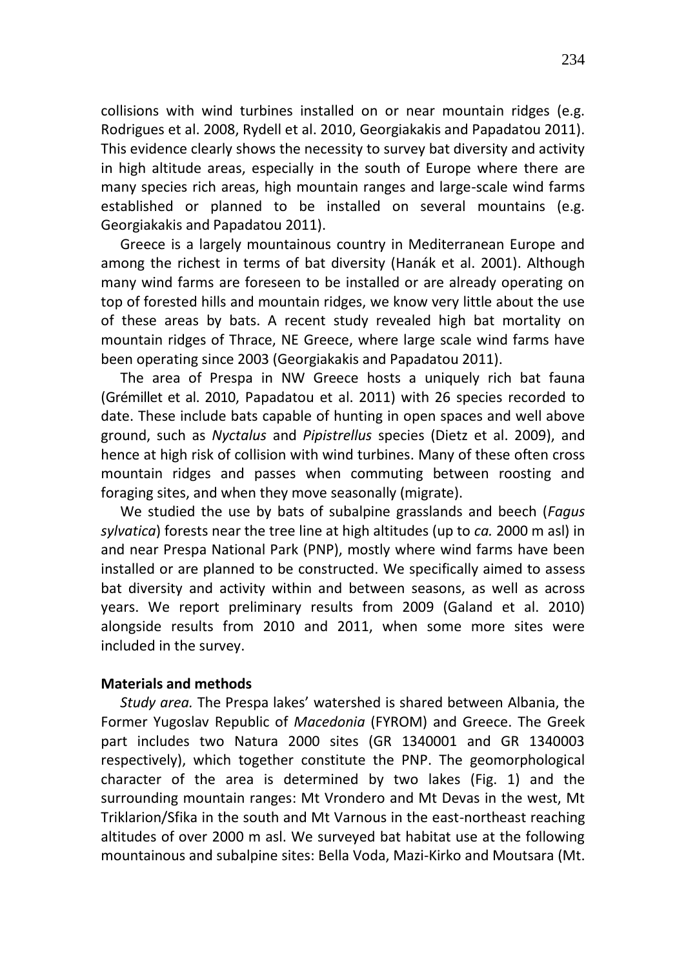collisions with wind turbines installed on or near mountain ridges (e.g. Rodrigues et al. 2008, Rydell et al. 2010, Georgiakakis and Papadatou 2011). This evidence clearly shows the necessity to survey bat diversity and activity in high altitude areas, especially in the south of Europe where there are many species rich areas, high mountain ranges and large-scale wind farms established or planned to be installed on several mountains (e.g. Georgiakakis and Papadatou 2011).

Greece is a largely mountainous country in Mediterranean Europe and among the richest in terms of bat diversity (Hanák et al. 2001). Although many wind farms are foreseen to be installed or are already operating on top of forested hills and mountain ridges, we know very little about the use of these areas by bats. A recent study revealed high bat mortality on mountain ridges of Thrace, NE Greece, where large scale wind farms have been operating since 2003 (Georgiakakis and Papadatou 2011).

The area of Prespa in NW Greece hosts a uniquely rich bat fauna (Grémillet et al. 2010, Papadatou et al. 2011) with 26 species recorded to date. These include bats capable of hunting in open spaces and well above ground, such as *Nyctalus* and *Pipistrellus* species (Dietz et al. 2009), and hence at high risk of collision with wind turbines. Many of these often cross mountain ridges and passes when commuting between roosting and foraging sites, and when they move seasonally (migrate).

We studied the use by bats of subalpine grasslands and beech (*Fagus sylvatica*) forests near the tree line at high altitudes (up to *ca.* 2000 m asl) in and near Prespa National Park (PNP), mostly where wind farms have been installed or are planned to be constructed. We specifically aimed to assess bat diversity and activity within and between seasons, as well as across years. We report preliminary results from 2009 (Galand et al. 2010) alongside results from 2010 and 2011, when some more sites were included in the survey.

## **Materials and methods**

*Study area.* The Prespa lakes' watershed is shared between Albania, the Former Yugoslav Republic of *Macedonia* (FYROM) and Greece. The Greek part includes two Natura 2000 sites (GR 1340001 and GR 1340003 respectively), which together constitute the PNP. The geomorphological character of the area is determined by two lakes (Fig. 1) and the surrounding mountain ranges: Mt Vrondero and Mt Devas in the west, Mt Triklarion/Sfika in the south and Mt Varnous in the east-northeast reaching altitudes of over 2000 m asl. We surveyed bat habitat use at the following mountainous and subalpine sites: Bella Voda, Mazi-Kirko and Moutsara (Mt.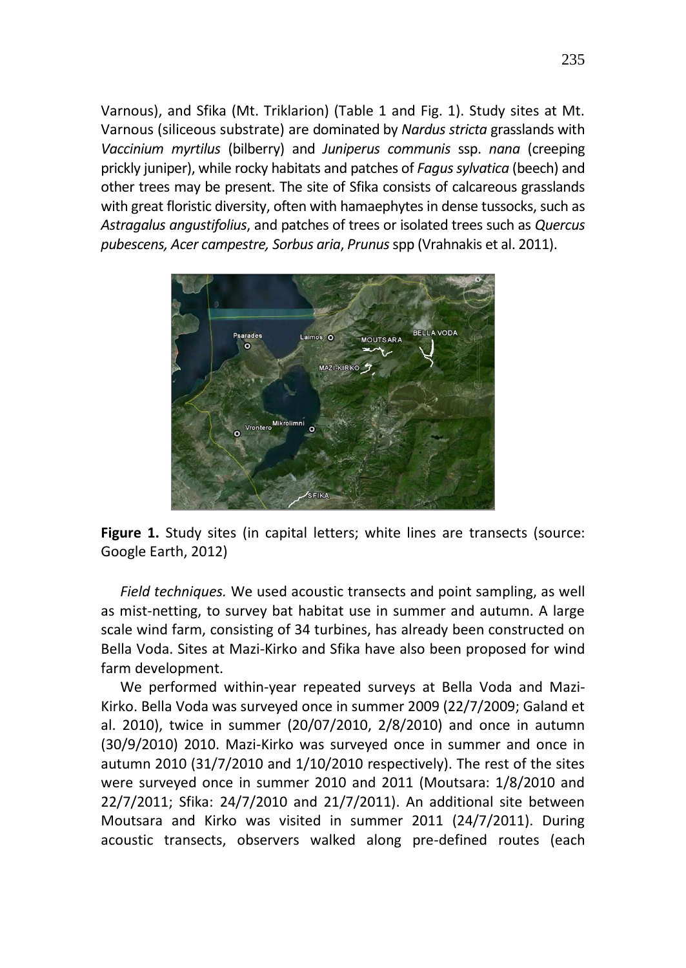Varnous), and Sfika (Mt. Triklarion) (Table 1 and Fig. 1). Study sites at Mt. Varnous (siliceous substrate) are dominated by *Nardus stricta* grasslands with *Vaccinium myrtilus* (bilberry) and *Juniperus communis* ssp. *nana* (creeping prickly juniper), while rocky habitats and patches of *Fagus sylvatica* (beech) and other trees may be present. The site of Sfika consists of calcareous grasslands with great floristic diversity, often with hamaephytes in dense tussocks, such as *Astragalus angustifolius*, and patches of trees or isolated trees such as *Quercus pubescens, Acer campestre, Sorbus aria*, *Prunus* spp (Vrahnakis et al. 2011).



**Figure 1.** Study sites (in capital letters; white lines are transects (source: Google Earth, 2012)

*Field techniques.* We used acoustic transects and point sampling, as well as mist-netting, to survey bat habitat use in summer and autumn. A large scale wind farm, consisting of 34 turbines, has already been constructed on Bella Voda. Sites at Mazi-Kirko and Sfika have also been proposed for wind farm development.

We performed within-year repeated surveys at Bella Voda and Mazi-Kirko. Bella Voda was surveyed once in summer 2009 (22/7/2009; Galand et al. 2010), twice in summer (20/07/2010, 2/8/2010) and once in autumn (30/9/2010) 2010. Mazi-Kirko was surveyed once in summer and once in autumn 2010 (31/7/2010 and 1/10/2010 respectively). The rest of the sites were surveyed once in summer 2010 and 2011 (Moutsara: 1/8/2010 and 22/7/2011; Sfika: 24/7/2010 and 21/7/2011). An additional site between Moutsara and Kirko was visited in summer 2011 (24/7/2011). During acoustic transects, observers walked along pre-defined routes (each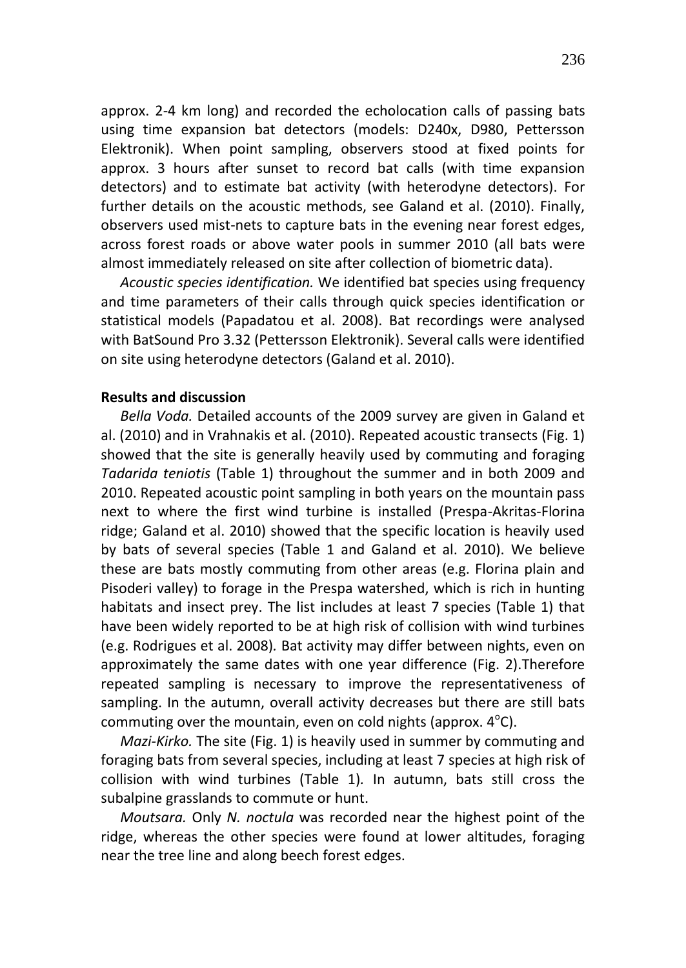approx. 2-4 km long) and recorded the echolocation calls of passing bats using time expansion bat detectors (models: D240x, D980, Pettersson Elektronik). When point sampling, observers stood at fixed points for approx. 3 hours after sunset to record bat calls (with time expansion detectors) and to estimate bat activity (with heterodyne detectors). For further details on the acoustic methods, see Galand et al. (2010). Finally, observers used mist-nets to capture bats in the evening near forest edges, across forest roads or above water pools in summer 2010 (all bats were almost immediately released on site after collection of biometric data).

*Acoustic species identification.* We identified bat species using frequency and time parameters of their calls through quick species identification or statistical models (Papadatou et al. 2008). Bat recordings were analysed with BatSound Pro 3.32 (Pettersson Elektronik). Several calls were identified on site using heterodyne detectors (Galand et al. 2010).

## **Results and discussion**

*Bella Voda.* Detailed accounts of the 2009 survey are given in Galand et al. (2010) and in Vrahnakis et al. (2010). Repeated acoustic transects (Fig. 1) showed that the site is generally heavily used by commuting and foraging *Tadarida teniotis* (Table 1) throughout the summer and in both 2009 and 2010. Repeated acoustic point sampling in both years on the mountain pass next to where the first wind turbine is installed (Prespa-Akritas-Florina ridge; Galand et al. 2010) showed that the specific location is heavily used by bats of several species (Table 1 and Galand et al. 2010). We believe these are bats mostly commuting from other areas (e.g. Florina plain and Pisoderi valley) to forage in the Prespa watershed, which is rich in hunting habitats and insect prey. The list includes at least 7 species (Table 1) that have been widely reported to be at high risk of collision with wind turbines (e.g. Rodrigues et al. 2008)*.* Bat activity may differ between nights, even on approximately the same dates with one year difference (Fig. 2).Therefore repeated sampling is necessary to improve the representativeness of sampling. In the autumn, overall activity decreases but there are still bats commuting over the mountain, even on cold nights (approx.  $4^{\circ}$ C).

*Mazi-Kirko.* The site (Fig. 1) is heavily used in summer by commuting and foraging bats from several species, including at least 7 species at high risk of collision with wind turbines (Table 1)*.* In autumn, bats still cross the subalpine grasslands to commute or hunt.

*Moutsara.* Only *N. noctula* was recorded near the highest point of the ridge, whereas the other species were found at lower altitudes, foraging near the tree line and along beech forest edges.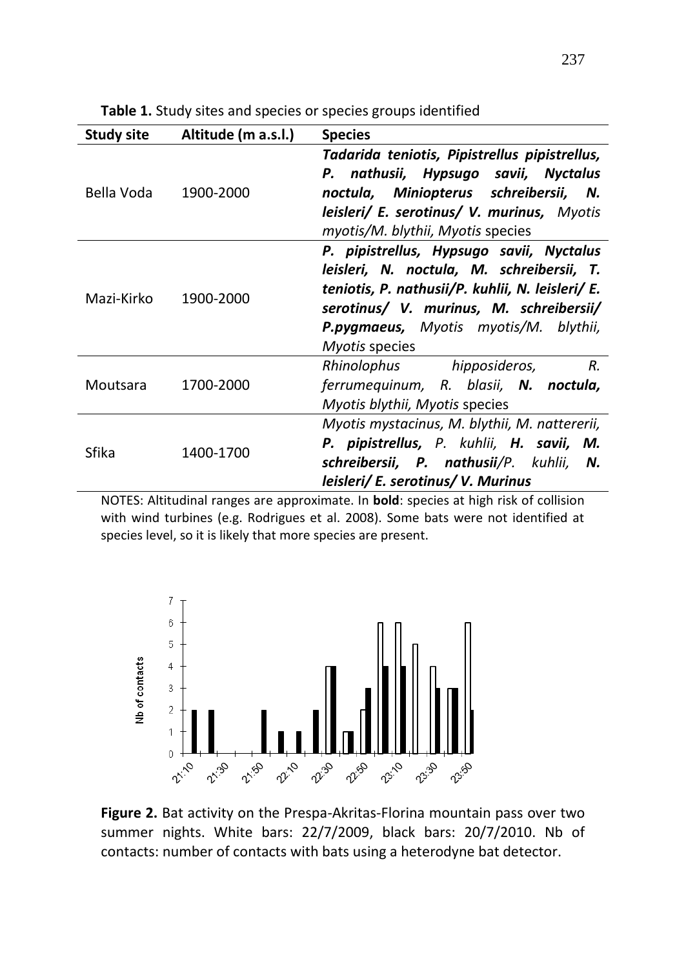| <b>Study site</b> | Altitude (m a.s.l.) | <b>Species</b>                                                                                                                                                                                                                                                |
|-------------------|---------------------|---------------------------------------------------------------------------------------------------------------------------------------------------------------------------------------------------------------------------------------------------------------|
| Bella Voda        | 1900-2000           | Tadarida teniotis, Pipistrellus pipistrellus,<br>P. nathusii, Hypsugo savii, Nyctalus<br>noctula, Miniopterus schreibersii,<br>N.<br>leisleri/ E. serotinus/ V. murinus, Myotis<br>myotis/M. blythii, Myotis species                                          |
| Mazi-Kirko        | 1900-2000           | P. pipistrellus, Hypsugo savii, Nyctalus<br>leisleri, N. noctula, M. schreibersii, T.<br>teniotis, P. nathusii/P. kuhlii, N. leisleri/ E.<br>serotinus/ V. murinus, M. schreibersii/<br><b>P.pygmaeus,</b> Myotis myotis/M. blythii,<br><i>Myotis</i> species |
| Moutsara          | 1700-2000           | R.<br>Rhinolophus hipposideros,<br>ferrumequinum, R. blasii, N. noctula,<br>Myotis blythii, Myotis species                                                                                                                                                    |
| Sfika             | 1400-1700           | Myotis mystacinus, M. blythii, M. nattererii,<br>P. pipistrellus, P. kuhlii, H. savii, M.<br>schreibersii, P. nathusii/P. kuhlii,<br>N.<br>leisleri/ E. serotinus/ V. Murinus                                                                                 |

**Table 1.** Study sites and species or species groups identified

NOTES: Altitudinal ranges are approximate. In **bold**: species at high risk of collision with wind turbines (e.g. Rodrigues et al. 2008). Some bats were not identified at species level, so it is likely that more species are present.



**Figure 2.** Bat activity on the Prespa-Akritas-Florina mountain pass over two summer nights. White bars: 22/7/2009, black bars: 20/7/2010. Nb of contacts: number of contacts with bats using a heterodyne bat detector.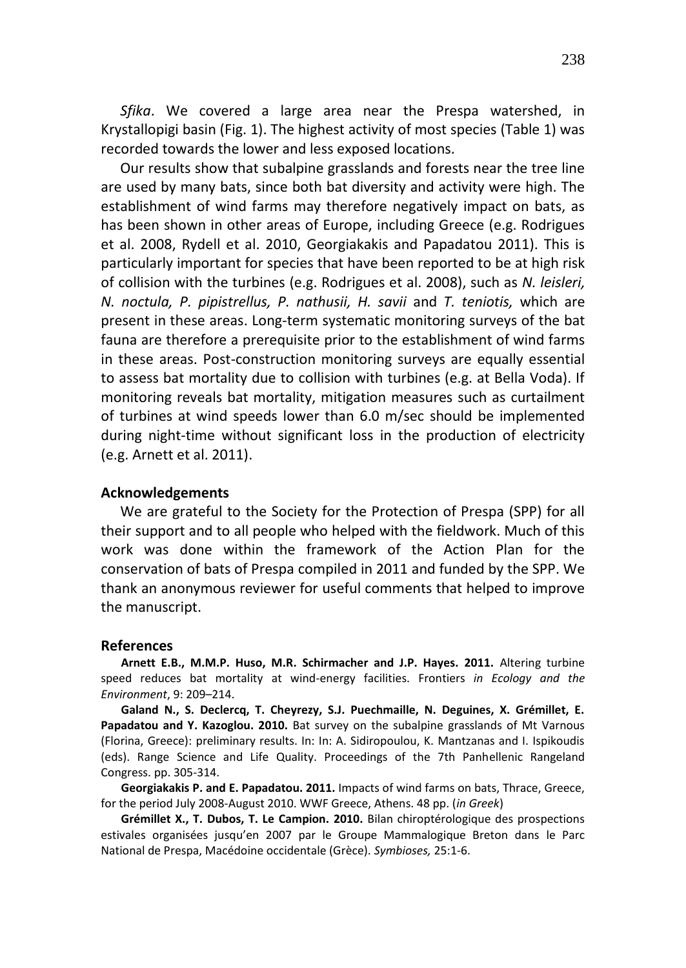*Sfika*. We covered a large area near the Prespa watershed, in Krystallopigi basin (Fig. 1). The highest activity of most species (Table 1) was recorded towards the lower and less exposed locations.

Our results show that subalpine grasslands and forests near the tree line are used by many bats, since both bat diversity and activity were high. The establishment of wind farms may therefore negatively impact on bats, as has been shown in other areas of Europe, including Greece (e.g. Rodrigues et al. 2008, Rydell et al. 2010, Georgiakakis and Papadatou 2011). This is particularly important for species that have been reported to be at high risk of collision with the turbines (e.g. Rodrigues et al. 2008), such as *N. leisleri, N. noctula, P. pipistrellus, P. nathusii, H. savii* and *T. teniotis,* which are present in these areas. Long-term systematic monitoring surveys of the bat fauna are therefore a prerequisite prior to the establishment of wind farms in these areas. Post-construction monitoring surveys are equally essential to assess bat mortality due to collision with turbines (e.g. at Bella Voda). If monitoring reveals bat mortality, mitigation measures such as curtailment of turbines at wind speeds lower than 6.0 m/sec should be implemented during night-time without significant loss in the production of electricity (e.g. Arnett et al. 2011).

### **Acknowledgements**

We are grateful to the Society for the Protection of Prespa (SPP) for all their support and to all people who helped with the fieldwork. Much of this work was done within the framework of the Action Plan for the conservation of bats of Prespa compiled in 2011 and funded by the SPP. We thank an anonymous reviewer for useful comments that helped to improve the manuscript.

#### **References**

**Arnett E.B., M.M.P. Huso, M.R. Schirmacher and J.P. Hayes. 2011.** Altering turbine speed reduces bat mortality at wind-energy facilities. Frontiers *in Ecology and the Environment*, 9: 209–214.

**Galand N., S. Declercq, T. Cheyrezy, S.J. Puechmaille, N. Deguines, X. Grémillet, E. Papadatou and Y. Kazoglou. 2010.** Bat survey on the subalpine grasslands of Mt Varnous (Florina, Greece): preliminary results. In: In: A. Sidiropoulou, K. Mantzanas and I. Ispikoudis (eds). Range Science and Life Quality. Proceedings of the 7th Panhellenic Rangeland Congress. pp. 305-314.

**Georgiakakis P. and E. Papadatou. 2011.** Impacts of wind farms on bats, Thrace, Greece, for the period July 2008-August 2010. WWF Greece, Athens. 48 pp. (*in Greek*)

**Grémillet X., T. Dubos, T. Le Campion. 2010.** Bilan chiroptérologique des prospections estivales organisées jusqu'en 2007 par le Groupe Mammalogique Breton dans le Parc National de Prespa, Macédoine occidentale (Grèce). *Symbioses,* 25:1-6.